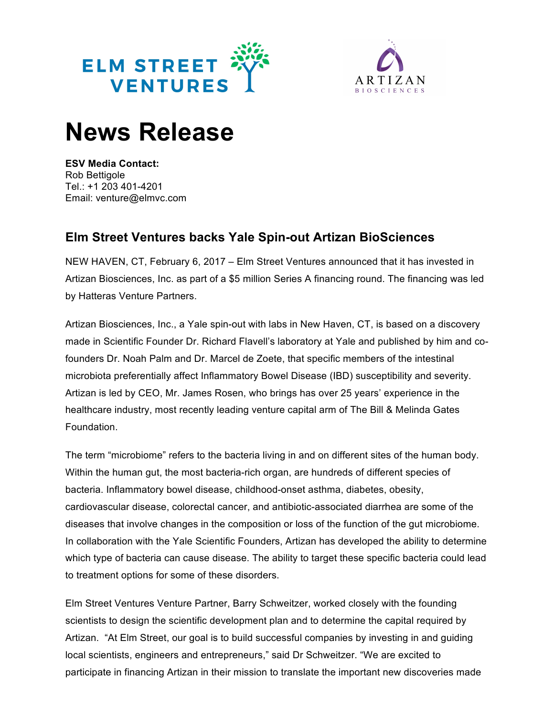



## **News Release**

**ESV Media Contact:** Rob Bettigole Tel.: +1 203 401-4201 Email: venture@elmvc.com

## **Elm Street Ventures backs Yale Spin-out Artizan BioSciences**

NEW HAVEN, CT, February 6, 2017 – Elm Street Ventures announced that it has invested in Artizan Biosciences, Inc. as part of a \$5 million Series A financing round. The financing was led by Hatteras Venture Partners.

Artizan Biosciences, Inc., a Yale spin-out with labs in New Haven, CT, is based on a discovery made in Scientific Founder Dr. Richard Flavell's laboratory at Yale and published by him and cofounders Dr. Noah Palm and Dr. Marcel de Zoete, that specific members of the intestinal microbiota preferentially affect Inflammatory Bowel Disease (IBD) susceptibility and severity. Artizan is led by CEO, Mr. James Rosen, who brings has over 25 years' experience in the healthcare industry, most recently leading venture capital arm of The Bill & Melinda Gates Foundation.

The term "microbiome" refers to the bacteria living in and on different sites of the human body. Within the human gut, the most bacteria-rich organ, are hundreds of different species of bacteria. Inflammatory bowel disease, childhood-onset asthma, diabetes, obesity, cardiovascular disease, colorectal cancer, and antibiotic-associated diarrhea are some of the diseases that involve changes in the composition or loss of the function of the gut microbiome. In collaboration with the Yale Scientific Founders, Artizan has developed the ability to determine which type of bacteria can cause disease. The ability to target these specific bacteria could lead to treatment options for some of these disorders.

Elm Street Ventures Venture Partner, Barry Schweitzer, worked closely with the founding scientists to design the scientific development plan and to determine the capital required by Artizan. "At Elm Street, our goal is to build successful companies by investing in and guiding local scientists, engineers and entrepreneurs," said Dr Schweitzer. "We are excited to participate in financing Artizan in their mission to translate the important new discoveries made